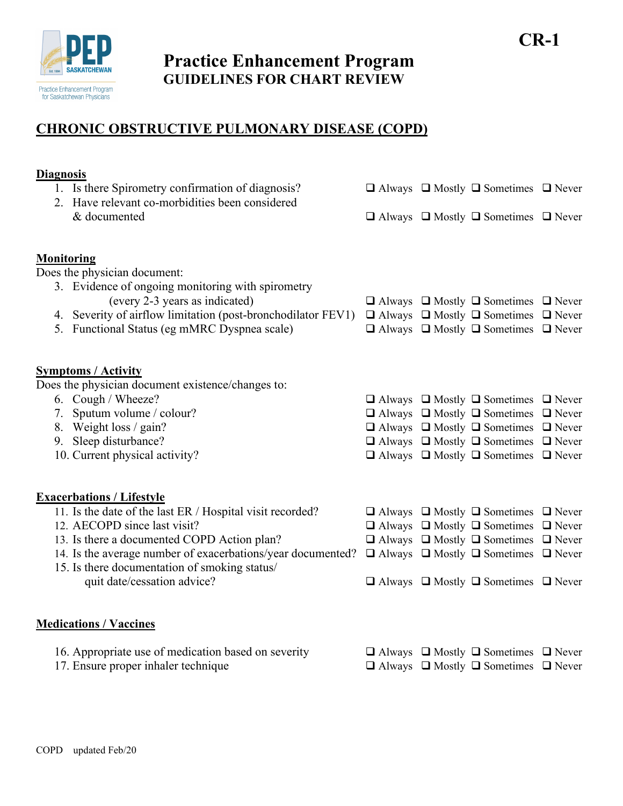

**Practice Enhancement Program GUIDELINES FOR CHART REVIEW**

**CR-1**

## **CHRONIC OBSTRUCTIVE PULMONARY DISEASE (COPD)**

## **Diagnosis**  1. Is there Spirometry confirmation of diagnosis?  $\Box$  Always  $\Box$  Mostly  $\Box$  Sometimes  $\Box$  Never 2. Have relevant co-morbidities been considered & documented  $\Box$  Always  $\Box$  Mostly  $\Box$  Sometimes  $\Box$  Never **Monitoring** Does the physician document: 3. Evidence of ongoing monitoring with spirometry (every 2-3 years as indicated)  $\Box$  Always  $\Box$  Mostly  $\Box$  Sometimes  $\Box$  Never 4. Severity of airflow limitation (post-bronchodilator FEV1)  $\Box$  Always  $\Box$  Mostly  $\Box$  Sometimes  $\Box$  Never 5. Functional Status (eg mMRC Dyspnea scale)  $\Box$  Always  $\Box$  Mostly  $\Box$  Sometimes  $\Box$  Never **Symptoms / Activity** Does the physician document existence/changes to: 6. Cough / Wheeze?  $\Box$  Always  $\Box$  Mostly  $\Box$  Sometimes  $\Box$  Never 7. Sputum volume / colour?  $\Box$  Always  $\Box$  Mostly  $\Box$  Sometimes  $\Box$  Never 8. Weight loss / gain?  $\Box$  Always  $\Box$  Mostly  $\Box$  Sometimes  $\Box$  Never 9. Sleep disturbance?  $\Box$  Always  $\Box$  Mostly  $\Box$  Sometimes  $\Box$  Never 10. Current physical activity?  $\Box$  Always  $\Box$  Mostly  $\Box$  Sometimes  $\Box$  Never **Exacerbations / Lifestyle** 11. Is the date of the last ER / Hospital visit recorded?  $\Box$  Always  $\Box$  Mostly  $\Box$  Sometimes  $\Box$  Never 12. AECOPD since last visit?  $\Box$  Always  $\Box$  Mostly  $\Box$  Sometimes  $\Box$  Never 13. Is there a documented COPD Action plan?  $\Box$  Always  $\Box$  Mostly  $\Box$  Sometimes  $\Box$  Never 14. Is the average number of exacerbations/year documented?  $\Box$  Always  $\Box$  Mostly  $\Box$  Sometimes  $\Box$  Never 15. Is there documentation of smoking status/ quit date/cessation advice?  $\Box$  Always  $\Box$  Mostly  $\Box$  Sometimes  $\Box$  Never **Medications / Vaccines** 16. Appropriate use of medication based on severity  $\Box$  Always  $\Box$  Mostly  $\Box$  Sometimes  $\Box$  Never 17. Ensure proper inhaler technique  $\Box$  Always  $\Box$  Mostly  $\Box$  Sometimes  $\Box$  Never